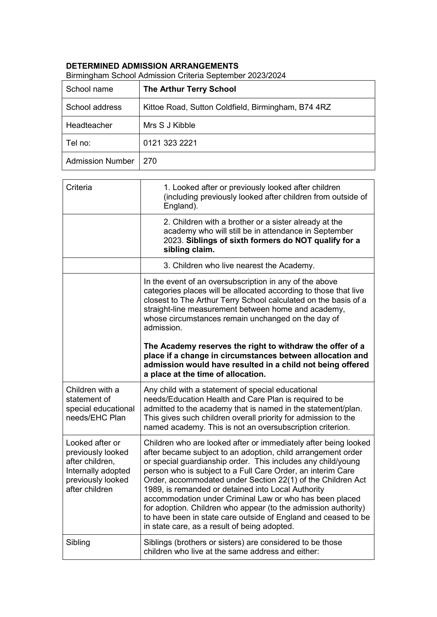## **DETERMINED ADMISSION ARRANGEMENTS**

| School name             | <b>The Arthur Terry School</b>                     |
|-------------------------|----------------------------------------------------|
| School address          | Kittoe Road, Sutton Coldfield, Birmingham, B74 4RZ |
| Headteacher             | Mrs S J Kibble                                     |
| Tel no:                 | 0121 323 2221                                      |
| <b>Admission Number</b> | 270                                                |

Birmingham School Admission Criteria September 2023/2024

| Criteria<br>1. Looked after or previously looked after children<br>(including previously looked after children from outside of<br>England).<br>2. Children with a brother or a sister already at the<br>academy who will still be in attendance in September<br>2023. Siblings of sixth formers do NOT qualify for a<br>sibling claim.<br>3. Children who live nearest the Academy.<br>In the event of an oversubscription in any of the above<br>categories places will be allocated according to those that live<br>closest to The Arthur Terry School calculated on the basis of a<br>straight-line measurement between home and academy,<br>whose circumstances remain unchanged on the day of<br>admission.<br>The Academy reserves the right to withdraw the offer of a<br>place if a change in circumstances between allocation and<br>admission would have resulted in a child not being offered<br>a place at the time of allocation.<br>Children with a<br>Any child with a statement of special educational<br>needs/Education Health and Care Plan is required to be<br>statement of<br>admitted to the academy that is named in the statement/plan.<br>special educational<br>needs/EHC Plan<br>This gives such children overall priority for admission to the<br>named academy. This is not an oversubscription criterion.<br>Looked after or<br>Children who are looked after or immediately after being looked<br>after became subject to an adoption, child arrangement order<br>previously looked<br>after children,<br>or special guardianship order. This includes any child/young<br>person who is subject to a Full Care Order, an interim Care<br>Internally adopted<br>previously looked<br>Order, accommodated under Section 22(1) of the Children Act<br>after children<br>1989, is remanded or detained into Local Authority<br>accommodation under Criminal Law or who has been placed<br>for adoption. Children who appear (to the admission authority)<br>to have been in state care outside of England and ceased to be<br>in state care, as a result of being adopted.<br>Sibling<br>Siblings (brothers or sisters) are considered to be those<br>children who live at the same address and either: |  |
|-------------------------------------------------------------------------------------------------------------------------------------------------------------------------------------------------------------------------------------------------------------------------------------------------------------------------------------------------------------------------------------------------------------------------------------------------------------------------------------------------------------------------------------------------------------------------------------------------------------------------------------------------------------------------------------------------------------------------------------------------------------------------------------------------------------------------------------------------------------------------------------------------------------------------------------------------------------------------------------------------------------------------------------------------------------------------------------------------------------------------------------------------------------------------------------------------------------------------------------------------------------------------------------------------------------------------------------------------------------------------------------------------------------------------------------------------------------------------------------------------------------------------------------------------------------------------------------------------------------------------------------------------------------------------------------------------------------------------------------------------------------------------------------------------------------------------------------------------------------------------------------------------------------------------------------------------------------------------------------------------------------------------------------------------------------------------------------------------------------------------------------------------------------------------------------------------------------------------------------|--|
|                                                                                                                                                                                                                                                                                                                                                                                                                                                                                                                                                                                                                                                                                                                                                                                                                                                                                                                                                                                                                                                                                                                                                                                                                                                                                                                                                                                                                                                                                                                                                                                                                                                                                                                                                                                                                                                                                                                                                                                                                                                                                                                                                                                                                                     |  |
|                                                                                                                                                                                                                                                                                                                                                                                                                                                                                                                                                                                                                                                                                                                                                                                                                                                                                                                                                                                                                                                                                                                                                                                                                                                                                                                                                                                                                                                                                                                                                                                                                                                                                                                                                                                                                                                                                                                                                                                                                                                                                                                                                                                                                                     |  |
|                                                                                                                                                                                                                                                                                                                                                                                                                                                                                                                                                                                                                                                                                                                                                                                                                                                                                                                                                                                                                                                                                                                                                                                                                                                                                                                                                                                                                                                                                                                                                                                                                                                                                                                                                                                                                                                                                                                                                                                                                                                                                                                                                                                                                                     |  |
|                                                                                                                                                                                                                                                                                                                                                                                                                                                                                                                                                                                                                                                                                                                                                                                                                                                                                                                                                                                                                                                                                                                                                                                                                                                                                                                                                                                                                                                                                                                                                                                                                                                                                                                                                                                                                                                                                                                                                                                                                                                                                                                                                                                                                                     |  |
|                                                                                                                                                                                                                                                                                                                                                                                                                                                                                                                                                                                                                                                                                                                                                                                                                                                                                                                                                                                                                                                                                                                                                                                                                                                                                                                                                                                                                                                                                                                                                                                                                                                                                                                                                                                                                                                                                                                                                                                                                                                                                                                                                                                                                                     |  |
|                                                                                                                                                                                                                                                                                                                                                                                                                                                                                                                                                                                                                                                                                                                                                                                                                                                                                                                                                                                                                                                                                                                                                                                                                                                                                                                                                                                                                                                                                                                                                                                                                                                                                                                                                                                                                                                                                                                                                                                                                                                                                                                                                                                                                                     |  |
|                                                                                                                                                                                                                                                                                                                                                                                                                                                                                                                                                                                                                                                                                                                                                                                                                                                                                                                                                                                                                                                                                                                                                                                                                                                                                                                                                                                                                                                                                                                                                                                                                                                                                                                                                                                                                                                                                                                                                                                                                                                                                                                                                                                                                                     |  |
|                                                                                                                                                                                                                                                                                                                                                                                                                                                                                                                                                                                                                                                                                                                                                                                                                                                                                                                                                                                                                                                                                                                                                                                                                                                                                                                                                                                                                                                                                                                                                                                                                                                                                                                                                                                                                                                                                                                                                                                                                                                                                                                                                                                                                                     |  |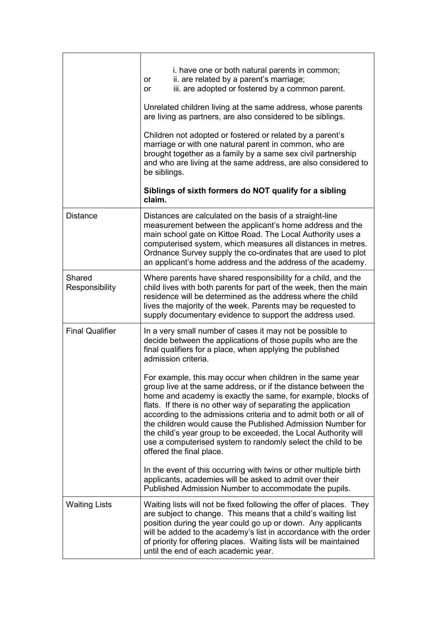|                          | i. have one or both natural parents in common;<br>ii. are related by a parent's marriage;<br>or<br>iii. are adopted or fostered by a common parent.<br>or<br>Unrelated children living at the same address, whose parents<br>are living as partners, are also considered to be siblings.<br>Children not adopted or fostered or related by a parent's<br>marriage or with one natural parent in common, who are<br>brought together as a family by a same sex civil partnership<br>and who are living at the same address, are also considered to<br>be siblings.<br>Siblings of sixth formers do NOT qualify for a sibling<br>claim.                                                                                                                                                                                                                                                                                                                                    |
|--------------------------|--------------------------------------------------------------------------------------------------------------------------------------------------------------------------------------------------------------------------------------------------------------------------------------------------------------------------------------------------------------------------------------------------------------------------------------------------------------------------------------------------------------------------------------------------------------------------------------------------------------------------------------------------------------------------------------------------------------------------------------------------------------------------------------------------------------------------------------------------------------------------------------------------------------------------------------------------------------------------|
| <b>Distance</b>          | Distances are calculated on the basis of a straight-line<br>measurement between the applicant's home address and the<br>main school gate on Kittoe Road. The Local Authority uses a<br>computerised system, which measures all distances in metres.<br>Ordnance Survey supply the co-ordinates that are used to plot<br>an applicant's home address and the address of the academy.                                                                                                                                                                                                                                                                                                                                                                                                                                                                                                                                                                                      |
| Shared<br>Responsibility | Where parents have shared responsibility for a child, and the<br>child lives with both parents for part of the week, then the main<br>residence will be determined as the address where the child<br>lives the majority of the week. Parents may be requested to<br>supply documentary evidence to support the address used.                                                                                                                                                                                                                                                                                                                                                                                                                                                                                                                                                                                                                                             |
| <b>Final Qualifier</b>   | In a very small number of cases it may not be possible to<br>decide between the applications of those pupils who are the<br>final qualifiers for a place, when applying the published<br>admission criteria.<br>For example, this may occur when children in the same year<br>group live at the same address, or if the distance between the<br>home and academy is exactly the same, for example, blocks of<br>flats. If there is no other way of separating the application<br>according to the admissions criteria and to admit both or all of<br>the children would cause the Published Admission Number for<br>the child's year group to be exceeded, the Local Authority will<br>use a computerised system to randomly select the child to be<br>offered the final place.<br>In the event of this occurring with twins or other multiple birth<br>applicants, academies will be asked to admit over their<br>Published Admission Number to accommodate the pupils. |
| <b>Waiting Lists</b>     | Waiting lists will not be fixed following the offer of places. They<br>are subject to change. This means that a child's waiting list<br>position during the year could go up or down. Any applicants<br>will be added to the academy's list in accordance with the order<br>of priority for offering places. Waiting lists will be maintained<br>until the end of each academic year.                                                                                                                                                                                                                                                                                                                                                                                                                                                                                                                                                                                    |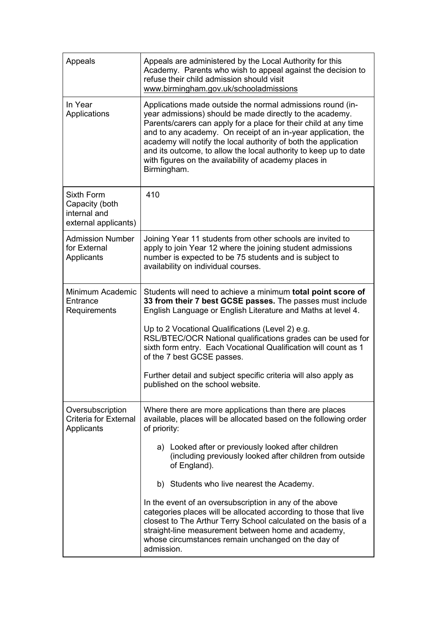| Appeals                                                              | Appeals are administered by the Local Authority for this<br>Academy. Parents who wish to appeal against the decision to<br>refuse their child admission should visit<br>www.birmingham.gov.uk/schooladmissions                                                                                                                                                                                                                                                                                                                                                                                                                                           |
|----------------------------------------------------------------------|----------------------------------------------------------------------------------------------------------------------------------------------------------------------------------------------------------------------------------------------------------------------------------------------------------------------------------------------------------------------------------------------------------------------------------------------------------------------------------------------------------------------------------------------------------------------------------------------------------------------------------------------------------|
| In Year<br>Applications                                              | Applications made outside the normal admissions round (in-<br>year admissions) should be made directly to the academy.<br>Parents/carers can apply for a place for their child at any time<br>and to any academy. On receipt of an in-year application, the<br>academy will notify the local authority of both the application<br>and its outcome, to allow the local authority to keep up to date<br>with figures on the availability of academy places in<br>Birmingham.                                                                                                                                                                               |
| Sixth Form<br>Capacity (both<br>internal and<br>external applicants) | 410                                                                                                                                                                                                                                                                                                                                                                                                                                                                                                                                                                                                                                                      |
| <b>Admission Number</b><br>for External<br>Applicants                | Joining Year 11 students from other schools are invited to<br>apply to join Year 12 where the joining student admissions<br>number is expected to be 75 students and is subject to<br>availability on individual courses.                                                                                                                                                                                                                                                                                                                                                                                                                                |
| Minimum Academic<br>Entrance<br>Requirements                         | Students will need to achieve a minimum total point score of<br>33 from their 7 best GCSE passes. The passes must include<br>English Language or English Literature and Maths at level 4.<br>Up to 2 Vocational Qualifications (Level 2) e.g.<br>RSL/BTEC/OCR National qualifications grades can be used for<br>sixth form entry. Each Vocational Qualification will count as 1<br>of the 7 best GCSE passes.<br>Further detail and subject specific criteria will also apply as<br>published on the school website.                                                                                                                                     |
| Oversubscription<br><b>Criteria for External</b><br>Applicants       | Where there are more applications than there are places<br>available, places will be allocated based on the following order<br>of priority:<br>a) Looked after or previously looked after children<br>(including previously looked after children from outside<br>of England).<br>b) Students who live nearest the Academy.<br>In the event of an oversubscription in any of the above<br>categories places will be allocated according to those that live<br>closest to The Arthur Terry School calculated on the basis of a<br>straight-line measurement between home and academy,<br>whose circumstances remain unchanged on the day of<br>admission. |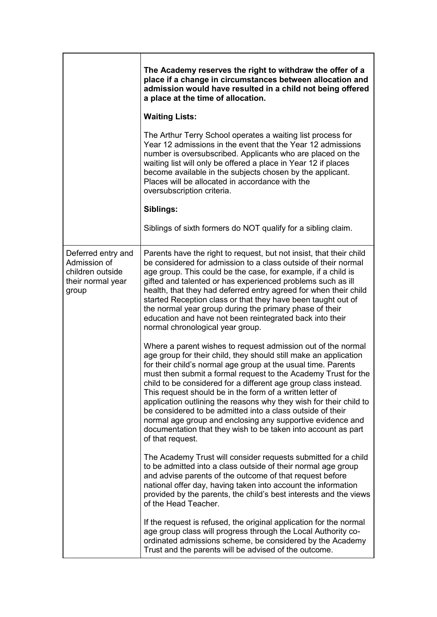|                                                                                      | The Academy reserves the right to withdraw the offer of a<br>place if a change in circumstances between allocation and<br>admission would have resulted in a child not being offered<br>a place at the time of allocation.                                                                                                                                                                                                                                                                                                                                                                                                                                                                 |
|--------------------------------------------------------------------------------------|--------------------------------------------------------------------------------------------------------------------------------------------------------------------------------------------------------------------------------------------------------------------------------------------------------------------------------------------------------------------------------------------------------------------------------------------------------------------------------------------------------------------------------------------------------------------------------------------------------------------------------------------------------------------------------------------|
|                                                                                      | <b>Waiting Lists:</b>                                                                                                                                                                                                                                                                                                                                                                                                                                                                                                                                                                                                                                                                      |
|                                                                                      | The Arthur Terry School operates a waiting list process for<br>Year 12 admissions in the event that the Year 12 admissions<br>number is oversubscribed. Applicants who are placed on the<br>waiting list will only be offered a place in Year 12 if places<br>become available in the subjects chosen by the applicant.<br>Places will be allocated in accordance with the<br>oversubscription criteria.                                                                                                                                                                                                                                                                                   |
|                                                                                      | Siblings:                                                                                                                                                                                                                                                                                                                                                                                                                                                                                                                                                                                                                                                                                  |
|                                                                                      | Siblings of sixth formers do NOT qualify for a sibling claim.                                                                                                                                                                                                                                                                                                                                                                                                                                                                                                                                                                                                                              |
| Deferred entry and<br>Admission of<br>children outside<br>their normal year<br>group | Parents have the right to request, but not insist, that their child<br>be considered for admission to a class outside of their normal<br>age group. This could be the case, for example, if a child is<br>gifted and talented or has experienced problems such as ill<br>health, that they had deferred entry agreed for when their child<br>started Reception class or that they have been taught out of<br>the normal year group during the primary phase of their<br>education and have not been reintegrated back into their<br>normal chronological year group.                                                                                                                       |
|                                                                                      | Where a parent wishes to request admission out of the normal<br>age group for their child, they should still make an application<br>for their child's normal age group at the usual time. Parents<br>must then submit a formal request to the Academy Trust for the<br>child to be considered for a different age group class instead.<br>This request should be in the form of a written letter of<br>application outlining the reasons why they wish for their child to<br>be considered to be admitted into a class outside of their<br>normal age group and enclosing any supportive evidence and<br>documentation that they wish to be taken into account as part<br>of that request. |
|                                                                                      | The Academy Trust will consider requests submitted for a child<br>to be admitted into a class outside of their normal age group<br>and advise parents of the outcome of that request before<br>national offer day, having taken into account the information<br>provided by the parents, the child's best interests and the views<br>of the Head Teacher.                                                                                                                                                                                                                                                                                                                                  |
|                                                                                      | If the request is refused, the original application for the normal<br>age group class will progress through the Local Authority co-<br>ordinated admissions scheme, be considered by the Academy<br>Trust and the parents will be advised of the outcome.                                                                                                                                                                                                                                                                                                                                                                                                                                  |